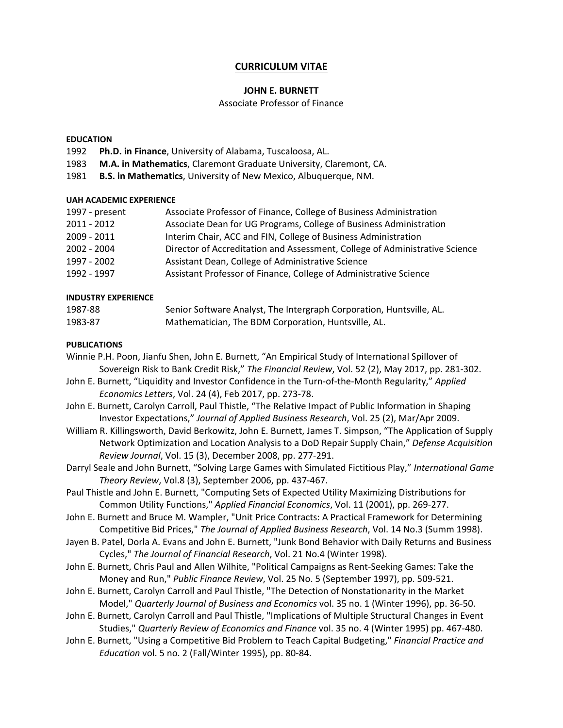## **CURRICULUM VITAE**

## **JOHN E. BURNETT**

#### Associate Professor of Finance

#### **EDUCATION**

- 1992 **Ph.D. in Finance**, University of Alabama, Tuscaloosa, AL.
- 1983 **M.A. in Mathematics**, Claremont Graduate University, Claremont, CA.
- 1981 **B.S. in Mathematics**, University of New Mexico, Albuquerque, NM.

#### **UAH ACADEMIC EXPERIENCE**

| 1997 - present | Associate Professor of Finance, College of Business Administration          |
|----------------|-----------------------------------------------------------------------------|
| 2011 - 2012    | Associate Dean for UG Programs, College of Business Administration          |
| 2009 - 2011    | Interim Chair, ACC and FIN, College of Business Administration              |
| 2002 - 2004    | Director of Accreditation and Assessment, College of Administrative Science |
| 1997 - 2002    | Assistant Dean, College of Administrative Science                           |
| 1992 - 1997    | Assistant Professor of Finance, College of Administrative Science           |

#### **INDUSTRY EXPERIENCE**

| 1987-88 | Senior Software Analyst, The Intergraph Corporation, Huntsville, AL. |
|---------|----------------------------------------------------------------------|
| 1983-87 | Mathematician, The BDM Corporation, Huntsville, AL.                  |

#### **PUBLICATIONS**

- Winnie P.H. Poon, Jianfu Shen, John E. Burnett, "An Empirical Study of International Spillover of Sovereign Risk to Bank Credit Risk," *The Financial Review*, Vol. 52 (2), May 2017, pp. 281-302.
- John E. Burnett, "Liquidity and Investor Confidence in the Turn-of-the-Month Regularity," *Applied Economics Letters*, Vol. 24 (4), Feb 2017, pp. 273-78.
- John E. Burnett, Carolyn Carroll, Paul Thistle, "The Relative Impact of Public Information in Shaping Investor Expectations," *Journal of Applied Business Research*, Vol. 25 (2), Mar/Apr 2009.
- William R. Killingsworth, David Berkowitz, John E. Burnett, James T. Simpson, "The Application of Supply Network Optimization and Location Analysis to a DoD Repair Supply Chain," *Defense Acquisition Review Journal*, Vol. 15 (3), December 2008, pp. 277-291.
- Darryl Seale and John Burnett, "Solving Large Games with Simulated Fictitious Play," *International Game Theory Review*, Vol.8 (3), September 2006, pp. 437-467.
- Paul Thistle and John E. Burnett, "Computing Sets of Expected Utility Maximizing Distributions for Common Utility Functions," *Applied Financial Economics*, Vol. 11 (2001), pp. 269-277.
- John E. Burnett and Bruce M. Wampler, "Unit Price Contracts: A Practical Framework for Determining Competitive Bid Prices," *The Journal of Applied Business Research*, Vol. 14 No.3 (Summ 1998).
- Jayen B. Patel, Dorla A. Evans and John E. Burnett, "Junk Bond Behavior with Daily Returns and Business Cycles," *The Journal of Financial Research*, Vol. 21 No.4 (Winter 1998).
- John E. Burnett, Chris Paul and Allen Wilhite, "Political Campaigns as Rent-Seeking Games: Take the Money and Run," *Public Finance Review*, Vol. 25 No. 5 (September 1997), pp. 509-521.
- John E. Burnett, Carolyn Carroll and Paul Thistle, "The Detection of Nonstationarity in the Market Model," *Quarterly Journal of Business and Economics* vol. 35 no. 1 (Winter 1996), pp. 36-50.
- John E. Burnett, Carolyn Carroll and Paul Thistle, "Implications of Multiple Structural Changes in Event Studies," *Quarterly Review of Economics and Finance* vol. 35 no. 4 (Winter 1995) pp. 467-480.
- John E. Burnett, "Using a Competitive Bid Problem to Teach Capital Budgeting," *Financial Practice and Education* vol. 5 no. 2 (Fall/Winter 1995), pp. 80-84.